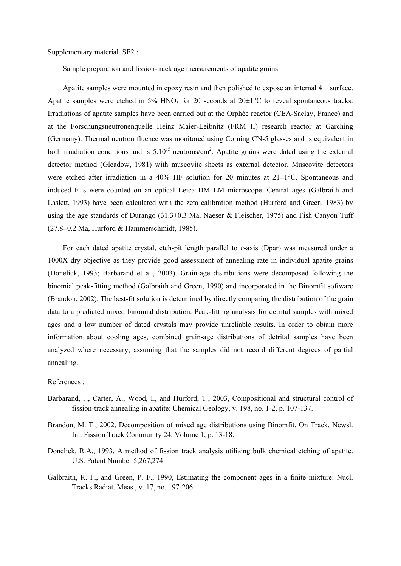Supplementary material SF2 :

Sample preparation and fission-track age measurements of apatite grains

Apatite samples were mounted in epoxy resin and then polished to expose an internal 4 surface. Apatite samples were etched in 5% HNO<sub>3</sub> for 20 seconds at  $20\pm1\degree$ C to reveal spontaneous tracks. Irradiations of apatite samples have been carried out at the Orphée reactor (CEA-Saclay, France) and at the Forschungsneutronenquelle Heinz Maier-Leibnitz (FRM II) research reactor at Garching (Germany). Thermal neutron fluence was monitored using Corning CN-5 glasses and is equivalent in both irradiation conditions and is  $5.10^{15}$  neutrons/cm<sup>2</sup>. Apatite grains were dated using the external detector method (Gleadow, 1981) with muscovite sheets as external detector. Muscovite detectors were etched after irradiation in a 40% HF solution for 20 minutes at  $21 \pm 1^{\circ}$ C. Spontaneous and induced FTs were counted on an optical Leica DM LM microscope. Central ages (Galbraith and Laslett, 1993) have been calculated with the zeta calibration method (Hurford and Green, 1983) by using the age standards of Durango (31.3±0.3 Ma, Naeser & Fleischer, 1975) and Fish Canyon Tuff (27.8±0.2 Ma, Hurford & Hammerschmidt, 1985).

For each dated apatite crystal, etch-pit length parallel to *c*-axis (Dpar) was measured under a 1000X dry objective as they provide good assessment of annealing rate in individual apatite grains (Donelick, 1993; Barbarand et al., 2003). Grain-age distributions were decomposed following the binomial peak-fitting method (Galbraith and Green, 1990) and incorporated in the Binomfit software (Brandon, 2002). The best-fit solution is determined by directly comparing the distribution of the grain data to a predicted mixed binomial distribution. Peak-fitting analysis for detrital samples with mixed ages and a low number of dated crystals may provide unreliable results. In order to obtain more information about cooling ages, combined grain-age distributions of detrital samples have been analyzed where necessary, assuming that the samples did not record different degrees of partial annealing.

References :

- Barbarand, J., Carter, A., Wood, I., and Hurford, T., 2003, Compositional and structural control of fission-track annealing in apatite: Chemical Geology, v. 198, no. 1-2, p. 107-137.
- Brandon, M. T., 2002, Decomposition of mixed age distributions using Binomfit, On Track, Newsl. Int. Fission Track Community 24, Volume 1, p. 13-18.
- Donelick, R.A., 1993, A method of fission track analysis utilizing bulk chemical etching of apatite. U.S. Patent Number 5,267,274.
- Galbraith, R. F., and Green, P. F., 1990, Estimating the component ages in a finite mixture: Nucl. Tracks Radiat. Meas., v. 17, no. 197-206.